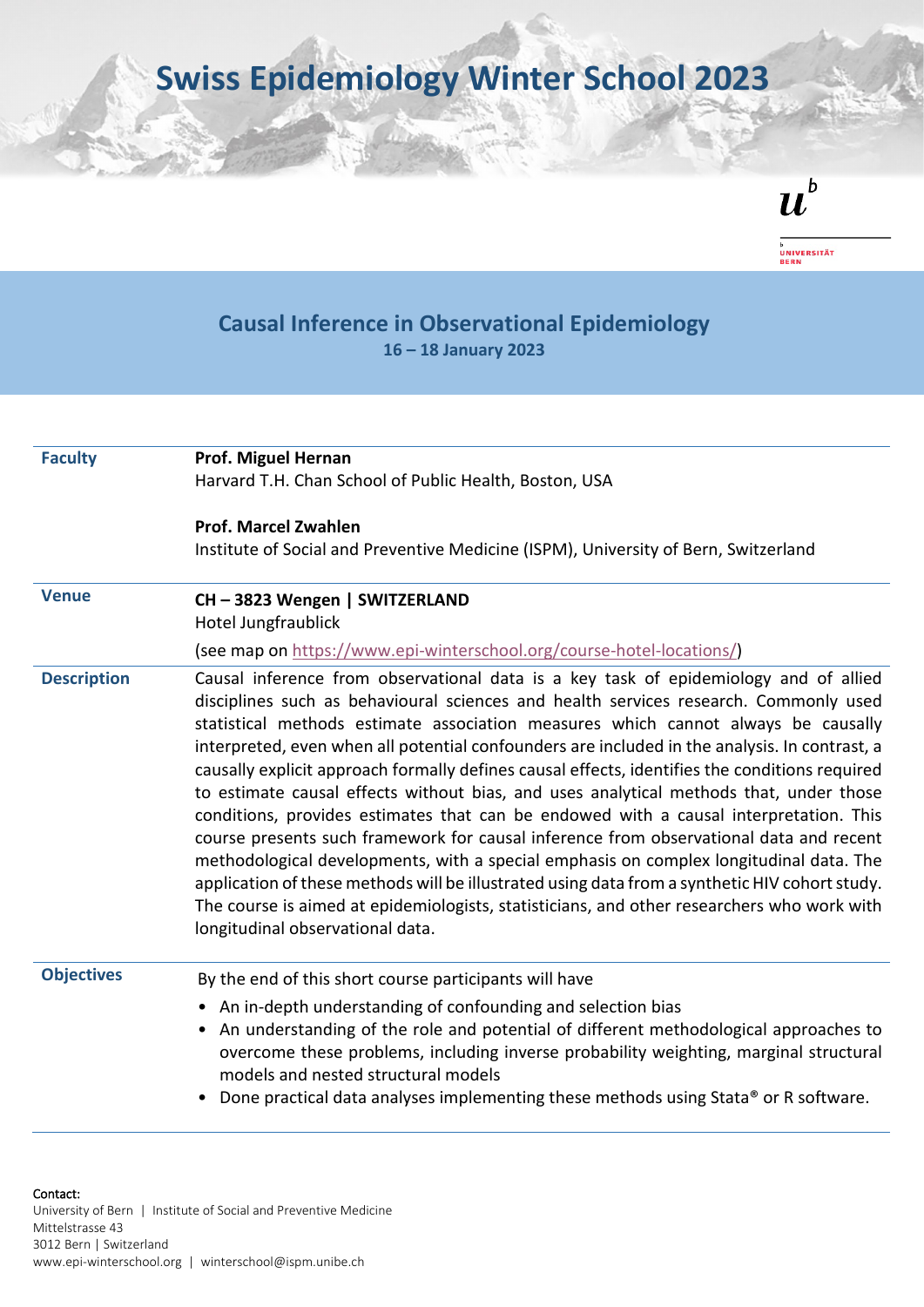**Swiss Epidemiology Winter School 2023**

 $\boldsymbol{u}^{\textit{b}}$ 

<sub>b</sub><br>Universität<br>Bern

## **Causal Inference in Observational Epidemiology 16 – 18 January 2023**

| <b>Faculty</b>     | Prof. Miguel Hernan<br>Harvard T.H. Chan School of Public Health, Boston, USA                                                                                                                                                                                                                                                                                                                                                                                                                                                                                                                                                                                                                                                                                                                                                                                                                                                                                                                                                                                                   |
|--------------------|---------------------------------------------------------------------------------------------------------------------------------------------------------------------------------------------------------------------------------------------------------------------------------------------------------------------------------------------------------------------------------------------------------------------------------------------------------------------------------------------------------------------------------------------------------------------------------------------------------------------------------------------------------------------------------------------------------------------------------------------------------------------------------------------------------------------------------------------------------------------------------------------------------------------------------------------------------------------------------------------------------------------------------------------------------------------------------|
|                    | <b>Prof. Marcel Zwahlen</b><br>Institute of Social and Preventive Medicine (ISPM), University of Bern, Switzerland                                                                                                                                                                                                                                                                                                                                                                                                                                                                                                                                                                                                                                                                                                                                                                                                                                                                                                                                                              |
| <b>Venue</b>       | CH-3823 Wengen   SWITZERLAND<br>Hotel Jungfraublick                                                                                                                                                                                                                                                                                                                                                                                                                                                                                                                                                                                                                                                                                                                                                                                                                                                                                                                                                                                                                             |
|                    | (see map on https://www.epi-winterschool.org/course-hotel-locations/)                                                                                                                                                                                                                                                                                                                                                                                                                                                                                                                                                                                                                                                                                                                                                                                                                                                                                                                                                                                                           |
| <b>Description</b> | Causal inference from observational data is a key task of epidemiology and of allied<br>disciplines such as behavioural sciences and health services research. Commonly used<br>statistical methods estimate association measures which cannot always be causally<br>interpreted, even when all potential confounders are included in the analysis. In contrast, a<br>causally explicit approach formally defines causal effects, identifies the conditions required<br>to estimate causal effects without bias, and uses analytical methods that, under those<br>conditions, provides estimates that can be endowed with a causal interpretation. This<br>course presents such framework for causal inference from observational data and recent<br>methodological developments, with a special emphasis on complex longitudinal data. The<br>application of these methods will be illustrated using data from a synthetic HIV cohort study.<br>The course is aimed at epidemiologists, statisticians, and other researchers who work with<br>longitudinal observational data. |
| <b>Objectives</b>  | By the end of this short course participants will have<br>• An in-depth understanding of confounding and selection bias<br>An understanding of the role and potential of different methodological approaches to<br>$\bullet$<br>overcome these problems, including inverse probability weighting, marginal structural<br>models and nested structural models<br>Done practical data analyses implementing these methods using Stata® or R software.                                                                                                                                                                                                                                                                                                                                                                                                                                                                                                                                                                                                                             |